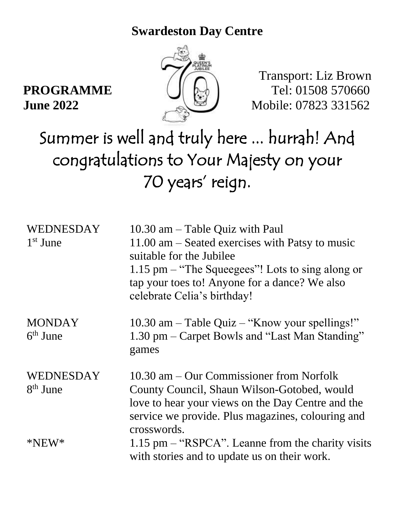## **Swardeston Day Centre**



## Transport: Liz Brown **PROGRAMME**  $\left( \parallel \phi_0 \parallel \right)$  Tel: 01508 570660 **June 2022** Mobile: 07823 331562

## Summer is well and truly here ... hurrah! And congratulations to Your Majesty on your 70 years' reign.

| WEDNESDAY<br>1 <sup>st</sup> June | $10.30$ am $-$ Table Quiz with Paul<br>$11.00$ am $-$ Seated exercises with Patsy to music<br>suitable for the Jubilee<br>1.15 pm $-$ "The Squeegees"! Lots to sing along or<br>tap your toes to! Anyone for a dance? We also<br>celebrate Celia's birthday! |
|-----------------------------------|--------------------------------------------------------------------------------------------------------------------------------------------------------------------------------------------------------------------------------------------------------------|
| <b>MONDAY</b><br>$6th$ June       | 10.30 am $-$ Table Quiz $-$ "Know your spellings!"<br>1.30 pm – Carpet Bowls and "Last Man Standing"<br>games                                                                                                                                                |
| <b>WEDNESDAY</b><br>$8th$ June    | $10.30$ am $-$ Our Commissioner from Norfolk<br>County Council, Shaun Wilson-Gotobed, would<br>love to hear your views on the Day Centre and the<br>service we provide. Plus magazines, colouring and<br>crosswords.                                         |
| $*NEW*$                           | $1.15$ pm $-$ "RSPCA". Leanne from the charity visits<br>with stories and to update us on their work.                                                                                                                                                        |